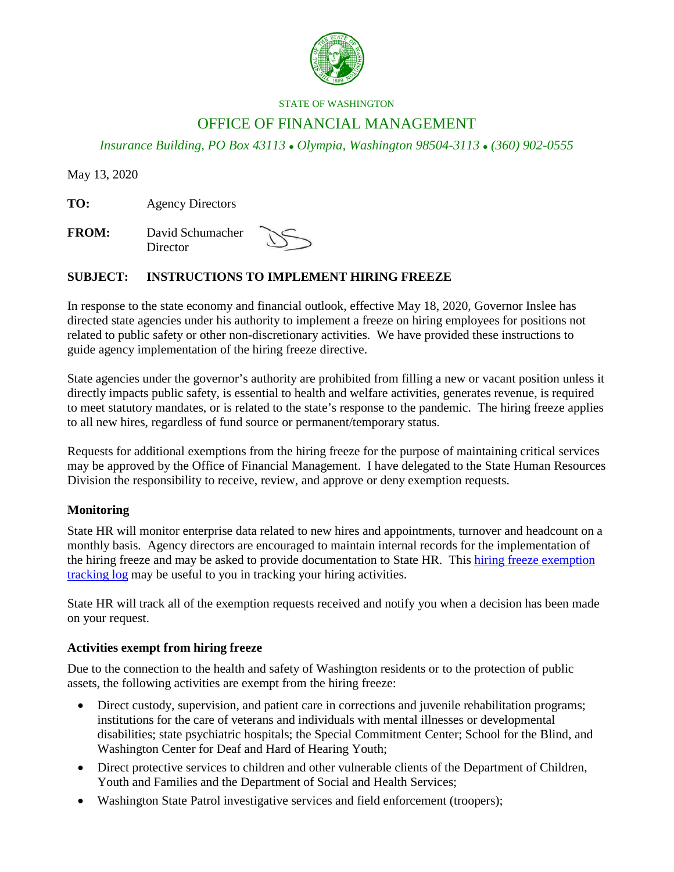

#### STATE OF WASHINGTON

# OFFICE OF FINANCIAL MANAGEMENT

*Insurance Building, PO Box 43113 Olympia, Washington 98504-3113 (360) 902-0555*

May 13, 2020

**TO:** Agency Directors

**FROM:** David Schumacher **Director** 

## **SUBJECT: INSTRUCTIONS TO IMPLEMENT HIRING FREEZE**

In response to the state economy and financial outlook, effective May 18, 2020, Governor Inslee has directed state agencies under his authority to implement a freeze on hiring employees for positions not related to public safety or other non-discretionary activities. We have provided these instructions to guide agency implementation of the hiring freeze directive.

State agencies under the governor's authority are prohibited from filling a new or vacant position unless it directly impacts public safety, is essential to health and welfare activities, generates revenue, is required to meet statutory mandates, or is related to the state's response to the pandemic. The hiring freeze applies to all new hires, regardless of fund source or permanent/temporary status.

Requests for additional exemptions from the hiring freeze for the purpose of maintaining critical services may be approved by the Office of Financial Management. I have delegated to the State Human Resources Division the responsibility to receive, review, and approve or deny exemption requests.

## **Monitoring**

State HR will monitor enterprise data related to new hires and appointments, turnover and headcount on a monthly basis. Agency directors are encouraged to maintain internal records for the implementation of the hiring freeze and may be asked to provide documentation to State HR. This [hiring freeze exemption](https://ofm.wa.gov/sites/default/files/public/about/covid/HiringFreezeExemptionTrackingLog.xlsx)  [tracking log](https://ofm.wa.gov/sites/default/files/public/about/covid/HiringFreezeExemptionTrackingLog.xlsx) may be useful to you in tracking your hiring activities.

State HR will track all of the exemption requests received and notify you when a decision has been made on your request.

## **Activities exempt from hiring freeze**

Due to the connection to the health and safety of Washington residents or to the protection of public assets, the following activities are exempt from the hiring freeze:

- Direct custody, supervision, and patient care in corrections and juvenile rehabilitation programs; institutions for the care of veterans and individuals with mental illnesses or developmental disabilities; state psychiatric hospitals; the Special Commitment Center; School for the Blind, and Washington Center for Deaf and Hard of Hearing Youth;
- Direct protective services to children and other vulnerable clients of the Department of Children, Youth and Families and the Department of Social and Health Services;
- Washington State Patrol investigative services and field enforcement (troopers);